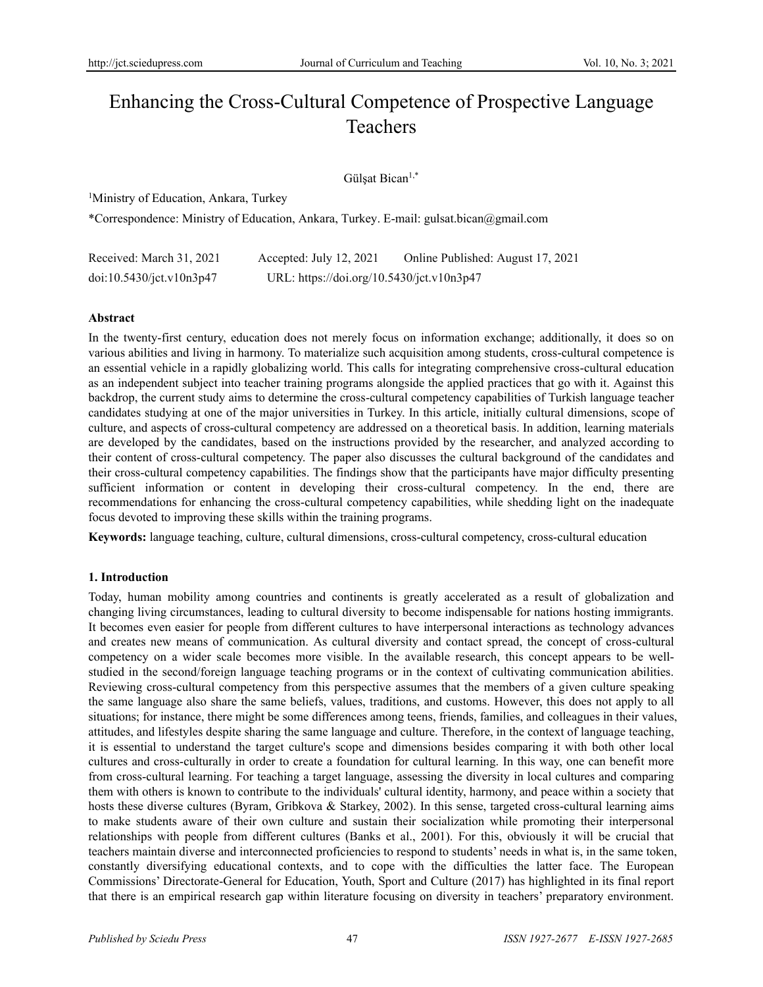# Enhancing the Cross-Cultural Competence of Prospective Language **Teachers**

# Gülşat Bican1,\*

<sup>1</sup>Ministry of Education, Ankara, Turkey

\*Correspondence: Ministry of Education, Ankara, Turkey. E-mail: gulsat.bican@gmail.com

| Received: March 31, 2021 | Accepted: July 12, 2021                   | Online Published: August 17, 2021 |
|--------------------------|-------------------------------------------|-----------------------------------|
| doi:10.5430/jct.v10n3p47 | URL: https://doi.org/10.5430/jct.v10n3p47 |                                   |

#### **Abstract**

In the twenty-first century, education does not merely focus on information exchange; additionally, it does so on various abilities and living in harmony. To materialize such acquisition among students, cross-cultural competence is an essential vehicle in a rapidly globalizing world. This calls for integrating comprehensive cross-cultural education as an independent subject into teacher training programs alongside the applied practices that go with it. Against this backdrop, the current study aims to determine the cross-cultural competency capabilities of Turkish language teacher candidates studying at one of the major universities in Turkey. In this article, initially cultural dimensions, scope of culture, and aspects of cross-cultural competency are addressed on a theoretical basis. In addition, learning materials are developed by the candidates, based on the instructions provided by the researcher, and analyzed according to their content of cross-cultural competency. The paper also discusses the cultural background of the candidates and their cross-cultural competency capabilities. The findings show that the participants have major difficulty presenting sufficient information or content in developing their cross-cultural competency. In the end, there are recommendations for enhancing the cross-cultural competency capabilities, while shedding light on the inadequate focus devoted to improving these skills within the training programs.

**Keywords:** language teaching, culture, cultural dimensions, cross-cultural competency, cross-cultural education

# **1. Introduction**

Today, human mobility among countries and continents is greatly accelerated as a result of globalization and changing living circumstances, leading to cultural diversity to become indispensable for nations hosting immigrants. It becomes even easier for people from different cultures to have interpersonal interactions as technology advances and creates new means of communication. As cultural diversity and contact spread, the concept of cross-cultural competency on a wider scale becomes more visible. In the available research, this concept appears to be wellstudied in the second/foreign language teaching programs or in the context of cultivating communication abilities. Reviewing cross-cultural competency from this perspective assumes that the members of a given culture speaking the same language also share the same beliefs, values, traditions, and customs. However, this does not apply to all situations; for instance, there might be some differences among teens, friends, families, and colleagues in their values, attitudes, and lifestyles despite sharing the same language and culture. Therefore, in the context of language teaching, it is essential to understand the target culture's scope and dimensions besides comparing it with both other local cultures and cross-culturally in order to create a foundation for cultural learning. In this way, one can benefit more from cross-cultural learning. For teaching a target language, assessing the diversity in local cultures and comparing them with others is known to contribute to the individuals' cultural identity, harmony, and peace within a society that hosts these diverse cultures (Byram, Gribkova & Starkey, 2002). In this sense, targeted cross-cultural learning aims to make students aware of their own culture and sustain their socialization while promoting their interpersonal relationships with people from different cultures (Banks et al., 2001). For this, obviously it will be crucial that teachers maintain diverse and interconnected proficiencies to respond to students' needs in what is, in the same token, constantly diversifying educational contexts, and to cope with the difficulties the latter face. The European Commissions' Directorate-General for Education, Youth, Sport and Culture (2017) has highlighted in its final report that there is an empirical research gap within literature focusing on diversity in teachers' preparatory environment.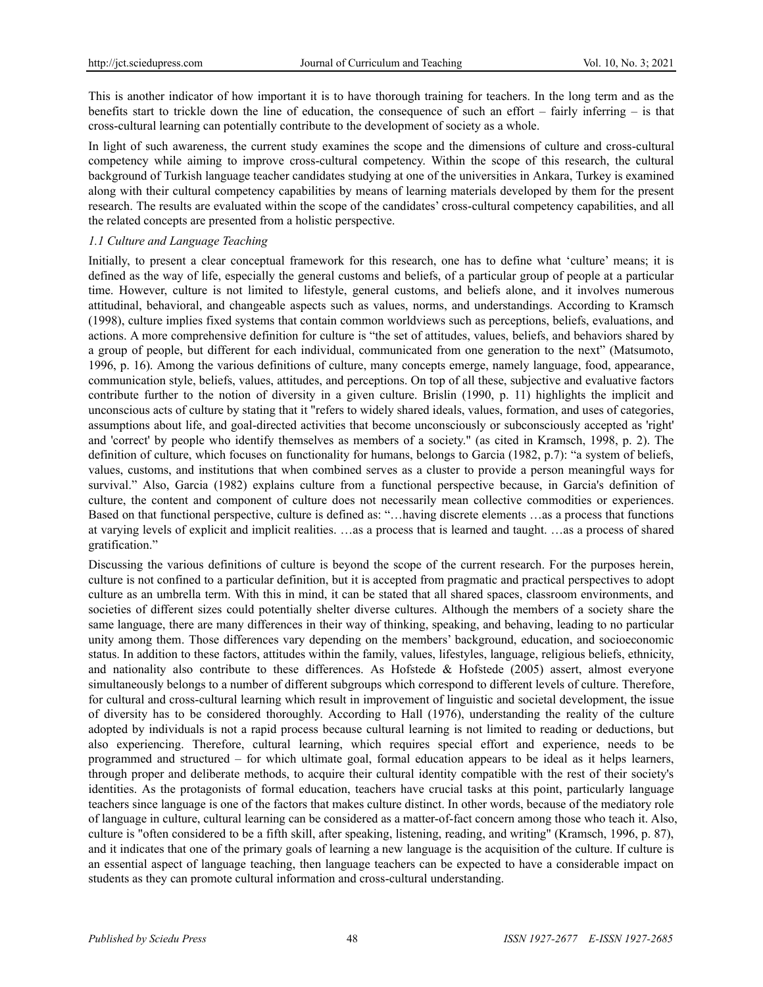This is another indicator of how important it is to have thorough training for teachers. In the long term and as the benefits start to trickle down the line of education, the consequence of such an effort – fairly inferring – is that cross-cultural learning can potentially contribute to the development of society as a whole.

In light of such awareness, the current study examines the scope and the dimensions of culture and cross-cultural competency while aiming to improve cross-cultural competency. Within the scope of this research, the cultural background of Turkish language teacher candidates studying at one of the universities in Ankara, Turkey is examined along with their cultural competency capabilities by means of learning materials developed by them for the present research. The results are evaluated within the scope of the candidates' cross-cultural competency capabilities, and all the related concepts are presented from a holistic perspective.

#### *1.1 Culture and Language Teaching*

Initially, to present a clear conceptual framework for this research, one has to define what 'culture' means; it is defined as the way of life, especially the general customs and beliefs, of a particular group of people at a particular time. However, culture is not limited to lifestyle, general customs, and beliefs alone, and it involves numerous attitudinal, behavioral, and changeable aspects such as values, norms, and understandings. According to Kramsch (1998), culture implies fixed systems that contain common worldviews such as perceptions, beliefs, evaluations, and actions. A more comprehensive definition for culture is "the set of attitudes, values, beliefs, and behaviors shared by a group of people, but different for each individual, communicated from one generation to the next" (Matsumoto, 1996, p. 16). Among the various definitions of culture, many concepts emerge, namely language, food, appearance, communication style, beliefs, values, attitudes, and perceptions. On top of all these, subjective and evaluative factors contribute further to the notion of diversity in a given culture. Brislin (1990, p. 11) highlights the implicit and unconscious acts of culture by stating that it "refers to widely shared ideals, values, formation, and uses of categories, assumptions about life, and goal-directed activities that become unconsciously or subconsciously accepted as 'right' and 'correct' by people who identify themselves as members of a society." (as cited in Kramsch, 1998, p. 2). The definition of culture, which focuses on functionality for humans, belongs to Garcia (1982, p.7): "a system of beliefs, values, customs, and institutions that when combined serves as a cluster to provide a person meaningful ways for survival." Also, Garcia (1982) explains culture from a functional perspective because, in Garcia's definition of culture, the content and component of culture does not necessarily mean collective commodities or experiences. Based on that functional perspective, culture is defined as: "…having discrete elements …as a process that functions at varying levels of explicit and implicit realities. …as a process that is learned and taught. …as a process of shared gratification."

Discussing the various definitions of culture is beyond the scope of the current research. For the purposes herein, culture is not confined to a particular definition, but it is accepted from pragmatic and practical perspectives to adopt culture as an umbrella term. With this in mind, it can be stated that all shared spaces, classroom environments, and societies of different sizes could potentially shelter diverse cultures. Although the members of a society share the same language, there are many differences in their way of thinking, speaking, and behaving, leading to no particular unity among them. Those differences vary depending on the members' background, education, and socioeconomic status. In addition to these factors, attitudes within the family, values, lifestyles, language, religious beliefs, ethnicity, and nationality also contribute to these differences. As Hofstede & Hofstede (2005) assert, almost everyone simultaneously belongs to a number of different subgroups which correspond to different levels of culture. Therefore, for cultural and cross-cultural learning which result in improvement of linguistic and societal development, the issue of diversity has to be considered thoroughly. According to Hall (1976), understanding the reality of the culture adopted by individuals is not a rapid process because cultural learning is not limited to reading or deductions, but also experiencing. Therefore, cultural learning, which requires special effort and experience, needs to be programmed and structured – for which ultimate goal, formal education appears to be ideal as it helps learners, through proper and deliberate methods, to acquire their cultural identity compatible with the rest of their society's identities. As the protagonists of formal education, teachers have crucial tasks at this point, particularly language teachers since language is one of the factors that makes culture distinct. In other words, because of the mediatory role of language in culture, cultural learning can be considered as a matter-of-fact concern among those who teach it. Also, culture is "often considered to be a fifth skill, after speaking, listening, reading, and writing" (Kramsch, 1996, p. 87), and it indicates that one of the primary goals of learning a new language is the acquisition of the culture. If culture is an essential aspect of language teaching, then language teachers can be expected to have a considerable impact on students as they can promote cultural information and cross-cultural understanding.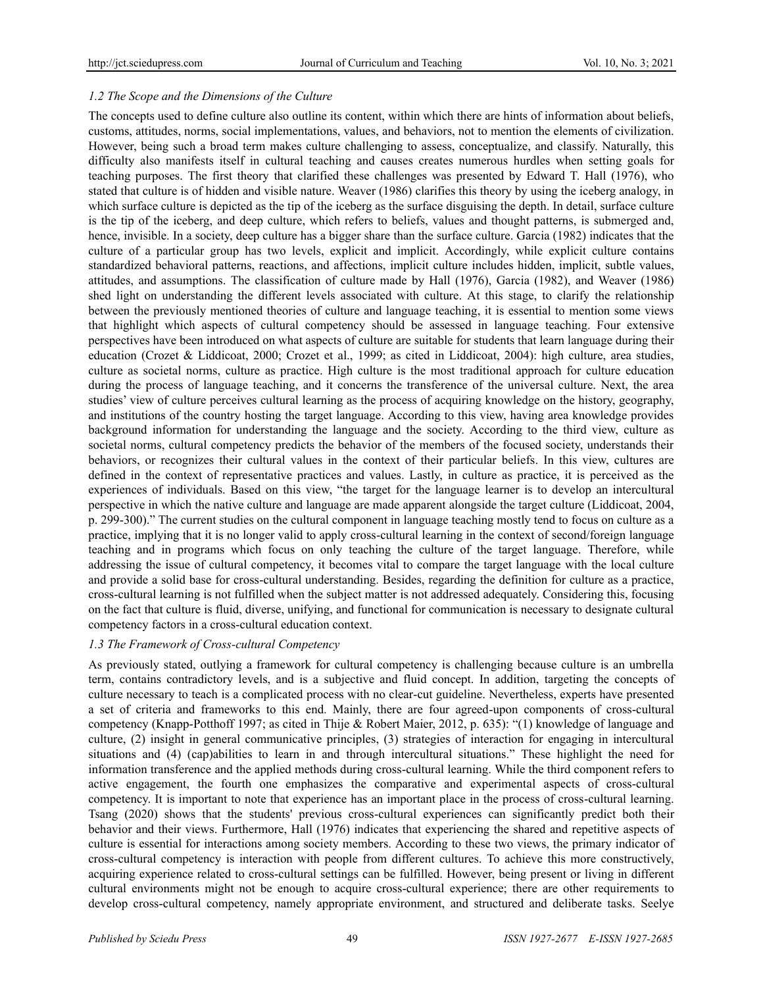# *1.2 The Scope and the Dimensions of the Culture*

The concepts used to define culture also outline its content, within which there are hints of information about beliefs, customs, attitudes, norms, social implementations, values, and behaviors, not to mention the elements of civilization. However, being such a broad term makes culture challenging to assess, conceptualize, and classify. Naturally, this difficulty also manifests itself in cultural teaching and causes creates numerous hurdles when setting goals for teaching purposes. The first theory that clarified these challenges was presented by Edward T. Hall (1976), who stated that culture is of hidden and visible nature. Weaver (1986) clarifies this theory by using the iceberg analogy, in which surface culture is depicted as the tip of the iceberg as the surface disguising the depth. In detail, surface culture is the tip of the iceberg, and deep culture, which refers to beliefs, values and thought patterns, is submerged and, hence, invisible. In a society, deep culture has a bigger share than the surface culture. Garcia (1982) indicates that the culture of a particular group has two levels, explicit and implicit. Accordingly, while explicit culture contains standardized behavioral patterns, reactions, and affections, implicit culture includes hidden, implicit, subtle values, attitudes, and assumptions. The classification of culture made by Hall (1976), Garcia (1982), and Weaver (1986) shed light on understanding the different levels associated with culture. At this stage, to clarify the relationship between the previously mentioned theories of culture and language teaching, it is essential to mention some views that highlight which aspects of cultural competency should be assessed in language teaching. Four extensive perspectives have been introduced on what aspects of culture are suitable for students that learn language during their education (Crozet & Liddicoat, 2000; Crozet et al., 1999; as cited in Liddicoat, 2004): high culture, area studies, culture as societal norms, culture as practice. High culture is the most traditional approach for culture education during the process of language teaching, and it concerns the transference of the universal culture. Next, the area studies' view of culture perceives cultural learning as the process of acquiring knowledge on the history, geography, and institutions of the country hosting the target language. According to this view, having area knowledge provides background information for understanding the language and the society. According to the third view, culture as societal norms, cultural competency predicts the behavior of the members of the focused society, understands their behaviors, or recognizes their cultural values in the context of their particular beliefs. In this view, cultures are defined in the context of representative practices and values. Lastly, in culture as practice, it is perceived as the experiences of individuals. Based on this view, "the target for the language learner is to develop an intercultural perspective in which the native culture and language are made apparent alongside the target culture (Liddicoat, 2004, p. 299-300)." The current studies on the cultural component in language teaching mostly tend to focus on culture as a practice, implying that it is no longer valid to apply cross-cultural learning in the context of second/foreign language teaching and in programs which focus on only teaching the culture of the target language. Therefore, while addressing the issue of cultural competency, it becomes vital to compare the target language with the local culture and provide a solid base for cross-cultural understanding. Besides, regarding the definition for culture as a practice, cross-cultural learning is not fulfilled when the subject matter is not addressed adequately. Considering this, focusing on the fact that culture is fluid, diverse, unifying, and functional for communication is necessary to designate cultural competency factors in a cross-cultural education context.

#### *1.3 The Framework of Cross-cultural Competency*

As previously stated, outlying a framework for cultural competency is challenging because culture is an umbrella term, contains contradictory levels, and is a subjective and fluid concept. In addition, targeting the concepts of culture necessary to teach is a complicated process with no clear-cut guideline. Nevertheless, experts have presented a set of criteria and frameworks to this end. Mainly, there are four agreed-upon components of cross-cultural competency (Knapp-Potthoff 1997; as cited in Thije & Robert Maier, 2012, p. 635): "(1) knowledge of language and culture, (2) insight in general communicative principles, (3) strategies of interaction for engaging in intercultural situations and (4) (cap)abilities to learn in and through intercultural situations." These highlight the need for information transference and the applied methods during cross-cultural learning. While the third component refers to active engagement, the fourth one emphasizes the comparative and experimental aspects of cross-cultural competency. It is important to note that experience has an important place in the process of cross-cultural learning. Tsang (2020) shows that the students' previous cross-cultural experiences can significantly predict both their behavior and their views. Furthermore, Hall (1976) indicates that experiencing the shared and repetitive aspects of culture is essential for interactions among society members. According to these two views, the primary indicator of cross-cultural competency is interaction with people from different cultures. To achieve this more constructively, acquiring experience related to cross-cultural settings can be fulfilled. However, being present or living in different cultural environments might not be enough to acquire cross-cultural experience; there are other requirements to develop cross-cultural competency, namely appropriate environment, and structured and deliberate tasks. Seelye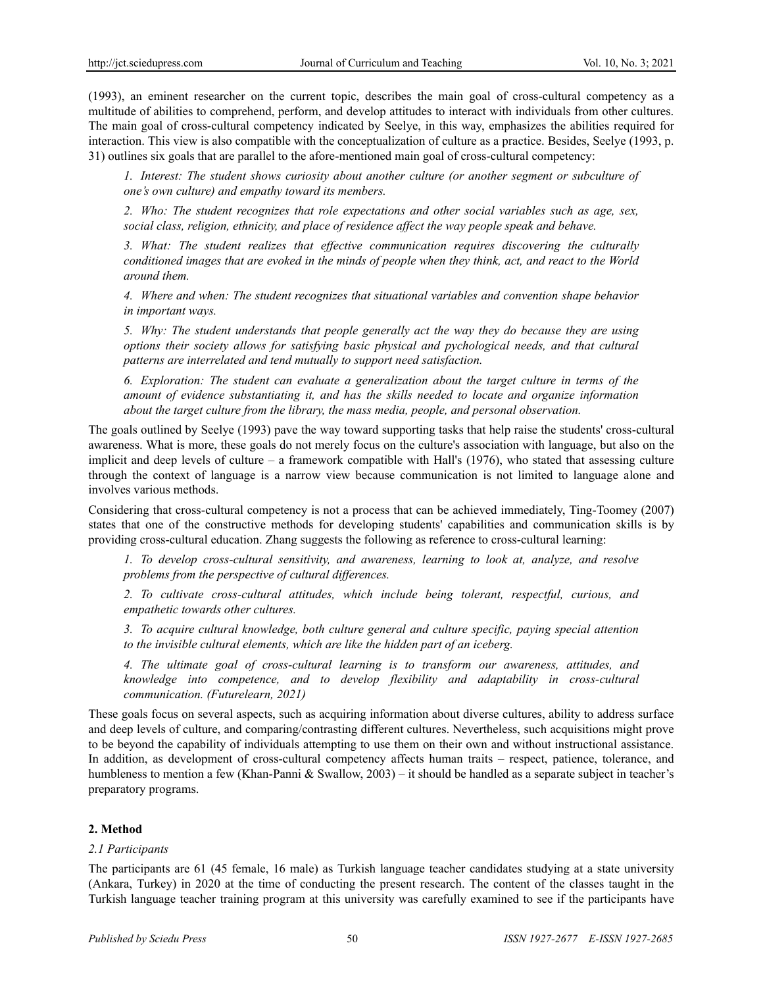(1993), an eminent researcher on the current topic, describes the main goal of cross-cultural competency as a multitude of abilities to comprehend, perform, and develop attitudes to interact with individuals from other cultures. The main goal of cross-cultural competency indicated by Seelye, in this way, emphasizes the abilities required for interaction. This view is also compatible with the conceptualization of culture as a practice. Besides, Seelye (1993, p. 31) outlines six goals that are parallel to the afore-mentioned main goal of cross-cultural competency:

*1. Interest: The student shows curiosity about another culture (or another segment or subculture of one's own culture) and empathy toward its members.* 

*2. Who: The student recognizes that role expectations and other social variables such as age, sex, social class, religion, ethnicity, and place of residence affect the way people speak and behave.*

*3. What: The student realizes that effective communication requires discovering the culturally conditioned images that are evoked in the minds of people when they think, act, and react to the World around them.*

*4. Where and when: The student recognizes that situational variables and convention shape behavior in important ways.*

*5. Why: The student understands that people generally act the way they do because they are using options their society allows for satisfying basic physical and pychological needs, and that cultural patterns are interrelated and tend mutually to support need satisfaction.* 

*6. Exploration: The student can evaluate a generalization about the target culture in terms of the amount of evidence substantiating it, and has the skills needed to locate and organize information about the target culture from the library, the mass media, people, and personal observation.*

The goals outlined by Seelye (1993) pave the way toward supporting tasks that help raise the students' cross-cultural awareness. What is more, these goals do not merely focus on the culture's association with language, but also on the implicit and deep levels of culture – a framework compatible with Hall's  $(1976)$ , who stated that assessing culture through the context of language is a narrow view because communication is not limited to language alone and involves various methods.

Considering that cross-cultural competency is not a process that can be achieved immediately, Ting-Toomey (2007) states that one of the constructive methods for developing students' capabilities and communication skills is by providing cross-cultural education. Zhang suggests the following as reference to cross-cultural learning:

*1. To develop cross-cultural sensitivity, and awareness, learning to look at, analyze, and resolve problems from the perspective of cultural differences.*

*2. To cultivate cross-cultural attitudes, which include being tolerant, respectful, curious, and empathetic towards other cultures.*

*3. To acquire cultural knowledge, both culture general and culture specific, paying special attention to the invisible cultural elements, which are like the hidden part of an iceberg.*

*4. The ultimate goal of cross-cultural learning is to transform our awareness, attitudes, and knowledge into competence, and to develop flexibility and adaptability in cross-cultural communication. (Futurelearn, 2021)*

These goals focus on several aspects, such as acquiring information about diverse cultures, ability to address surface and deep levels of culture, and comparing/contrasting different cultures. Nevertheless, such acquisitions might prove to be beyond the capability of individuals attempting to use them on their own and without instructional assistance. In addition, as development of cross-cultural competency affects human traits – respect, patience, tolerance, and humbleness to mention a few (Khan-Panni & Swallow, 2003) – it should be handled as a separate subject in teacher's preparatory programs.

# **2. Method**

# *2.1 Participants*

The participants are 61 (45 female, 16 male) as Turkish language teacher candidates studying at a state university (Ankara, Turkey) in 2020 at the time of conducting the present research. The content of the classes taught in the Turkish language teacher training program at this university was carefully examined to see if the participants have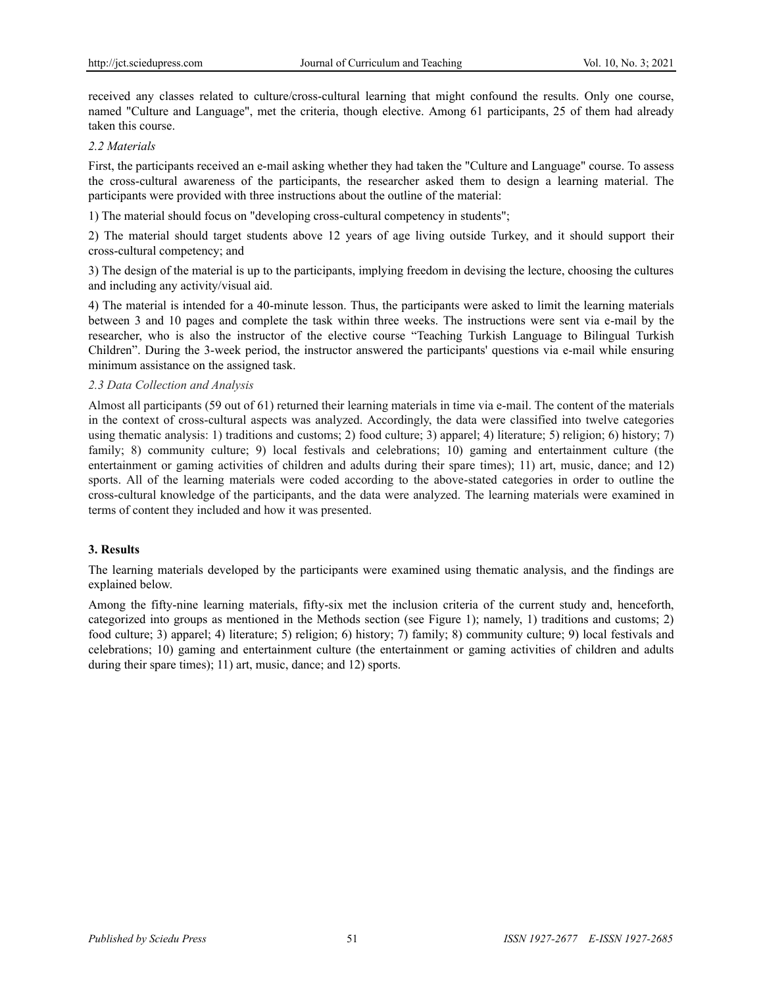received any classes related to culture/cross-cultural learning that might confound the results. Only one course, named "Culture and Language", met the criteria, though elective. Among 61 participants, 25 of them had already taken this course.

# *2.2 Materials*

First, the participants received an e-mail asking whether they had taken the "Culture and Language" course. To assess the cross-cultural awareness of the participants, the researcher asked them to design a learning material. The participants were provided with three instructions about the outline of the material:

1) The material should focus on "developing cross-cultural competency in students";

2) The material should target students above 12 years of age living outside Turkey, and it should support their cross-cultural competency; and

3) The design of the material is up to the participants, implying freedom in devising the lecture, choosing the cultures and including any activity/visual aid.

4) The material is intended for a 40-minute lesson. Thus, the participants were asked to limit the learning materials between 3 and 10 pages and complete the task within three weeks. The instructions were sent via e-mail by the researcher, who is also the instructor of the elective course "Teaching Turkish Language to Bilingual Turkish Children". During the 3-week period, the instructor answered the participants' questions via e-mail while ensuring minimum assistance on the assigned task.

#### *2.3 Data Collection and Analysis*

Almost all participants (59 out of 61) returned their learning materials in time via e-mail. The content of the materials in the context of cross-cultural aspects was analyzed. Accordingly, the data were classified into twelve categories using thematic analysis: 1) traditions and customs; 2) food culture; 3) apparel; 4) literature; 5) religion; 6) history; 7) family; 8) community culture; 9) local festivals and celebrations; 10) gaming and entertainment culture (the entertainment or gaming activities of children and adults during their spare times); 11) art, music, dance; and 12) sports. All of the learning materials were coded according to the above-stated categories in order to outline the cross-cultural knowledge of the participants, and the data were analyzed. The learning materials were examined in terms of content they included and how it was presented.

# **3. Results**

The learning materials developed by the participants were examined using thematic analysis, and the findings are explained below.

Among the fifty-nine learning materials, fifty-six met the inclusion criteria of the current study and, henceforth, categorized into groups as mentioned in the Methods section (see Figure 1); namely, 1) traditions and customs; 2) food culture; 3) apparel; 4) literature; 5) religion; 6) history; 7) family; 8) community culture; 9) local festivals and celebrations; 10) gaming and entertainment culture (the entertainment or gaming activities of children and adults during their spare times); 11) art, music, dance; and 12) sports.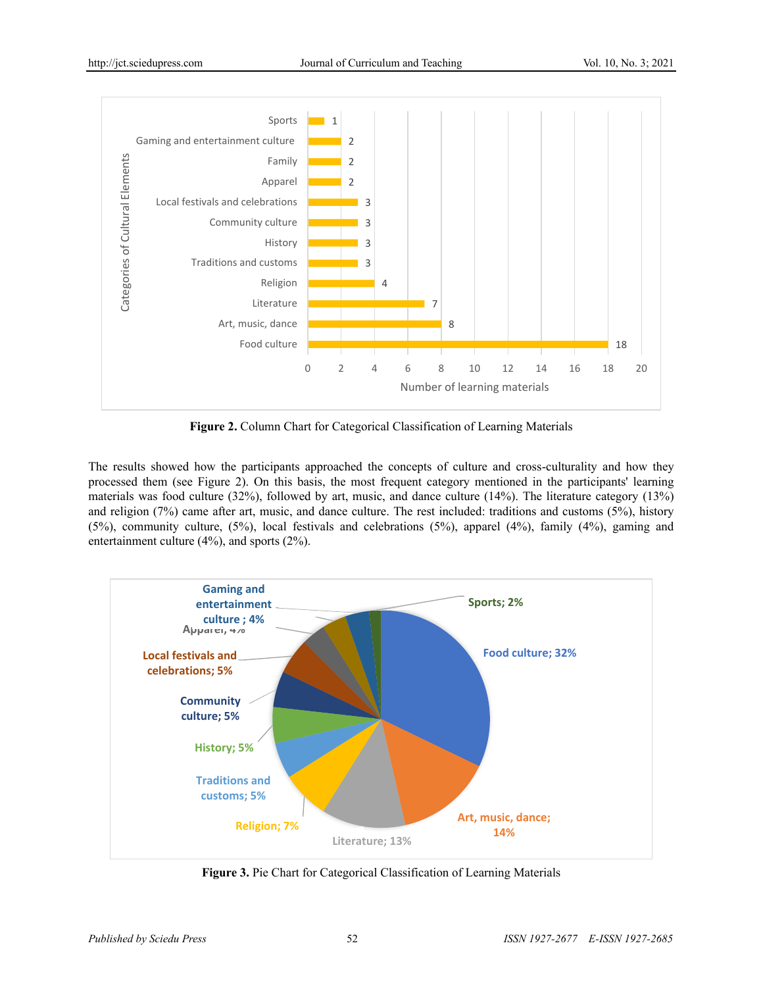

**Figure 2.** Column Chart for Categorical Classification of Learning Materials

The results showed how the participants approached the concepts of culture and cross-culturality and how they processed them (see Figure 2). On this basis, the most frequent category mentioned in the participants' learning materials was food culture (32%), followed by art, music, and dance culture (14%). The literature category (13%) and religion (7%) came after art, music, and dance culture. The rest included: traditions and customs (5%), history (5%), community culture, (5%), local festivals and celebrations (5%), apparel (4%), family (4%), gaming and entertainment culture (4%), and sports (2%).



**Figure 3.** Pie Chart for Categorical Classification of Learning Materials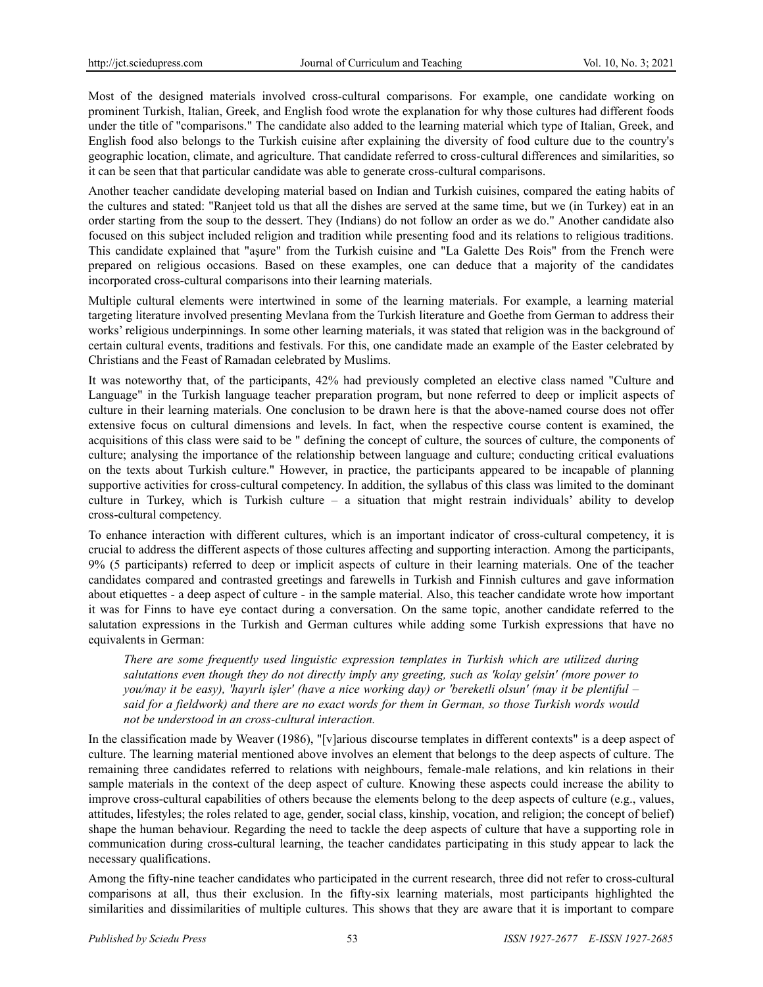Most of the designed materials involved cross-cultural comparisons. For example, one candidate working on prominent Turkish, Italian, Greek, and English food wrote the explanation for why those cultures had different foods under the title of "comparisons." The candidate also added to the learning material which type of Italian, Greek, and English food also belongs to the Turkish cuisine after explaining the diversity of food culture due to the country's geographic location, climate, and agriculture. That candidate referred to cross-cultural differences and similarities, so it can be seen that that particular candidate was able to generate cross-cultural comparisons.

Another teacher candidate developing material based on Indian and Turkish cuisines, compared the eating habits of the cultures and stated: "Ranjeet told us that all the dishes are served at the same time, but we (in Turkey) eat in an order starting from the soup to the dessert. They (Indians) do not follow an order as we do." Another candidate also focused on this subject included religion and tradition while presenting food and its relations to religious traditions. This candidate explained that "aşure" from the Turkish cuisine and "La Galette Des Rois" from the French were prepared on religious occasions. Based on these examples, one can deduce that a majority of the candidates incorporated cross-cultural comparisons into their learning materials.

Multiple cultural elements were intertwined in some of the learning materials. For example, a learning material targeting literature involved presenting Mevlana from the Turkish literature and Goethe from German to address their works' religious underpinnings. In some other learning materials, it was stated that religion was in the background of certain cultural events, traditions and festivals. For this, one candidate made an example of the Easter celebrated by Christians and the Feast of Ramadan celebrated by Muslims.

It was noteworthy that, of the participants, 42% had previously completed an elective class named "Culture and Language" in the Turkish language teacher preparation program, but none referred to deep or implicit aspects of culture in their learning materials. One conclusion to be drawn here is that the above-named course does not offer extensive focus on cultural dimensions and levels. In fact, when the respective course content is examined, the acquisitions of this class were said to be " defining the concept of culture, the sources of culture, the components of culture; analysing the importance of the relationship between language and culture; conducting critical evaluations on the texts about Turkish culture." However, in practice, the participants appeared to be incapable of planning supportive activities for cross-cultural competency. In addition, the syllabus of this class was limited to the dominant culture in Turkey, which is Turkish culture – a situation that might restrain individuals' ability to develop cross-cultural competency.

To enhance interaction with different cultures, which is an important indicator of cross-cultural competency, it is crucial to address the different aspects of those cultures affecting and supporting interaction. Among the participants, 9% (5 participants) referred to deep or implicit aspects of culture in their learning materials. One of the teacher candidates compared and contrasted greetings and farewells in Turkish and Finnish cultures and gave information about etiquettes - a deep aspect of culture - in the sample material. Also, this teacher candidate wrote how important it was for Finns to have eye contact during a conversation. On the same topic, another candidate referred to the salutation expressions in the Turkish and German cultures while adding some Turkish expressions that have no equivalents in German:

*There are some frequently used linguistic expression templates in Turkish which are utilized during salutations even though they do not directly imply any greeting, such as 'kolay gelsin' (more power to you/may it be easy), 'hayırlı işler' (have a nice working day) or 'bereketli olsun' (may it be plentiful – said for a fieldwork) and there are no exact words for them in German, so those Turkish words would not be understood in an cross-cultural interaction.*

In the classification made by Weaver (1986), "[v]arious discourse templates in different contexts" is a deep aspect of culture. The learning material mentioned above involves an element that belongs to the deep aspects of culture. The remaining three candidates referred to relations with neighbours, female-male relations, and kin relations in their sample materials in the context of the deep aspect of culture. Knowing these aspects could increase the ability to improve cross-cultural capabilities of others because the elements belong to the deep aspects of culture (e.g., values, attitudes, lifestyles; the roles related to age, gender, social class, kinship, vocation, and religion; the concept of belief) shape the human behaviour. Regarding the need to tackle the deep aspects of culture that have a supporting role in communication during cross-cultural learning, the teacher candidates participating in this study appear to lack the necessary qualifications.

Among the fifty-nine teacher candidates who participated in the current research, three did not refer to cross-cultural comparisons at all, thus their exclusion. In the fifty-six learning materials, most participants highlighted the similarities and dissimilarities of multiple cultures. This shows that they are aware that it is important to compare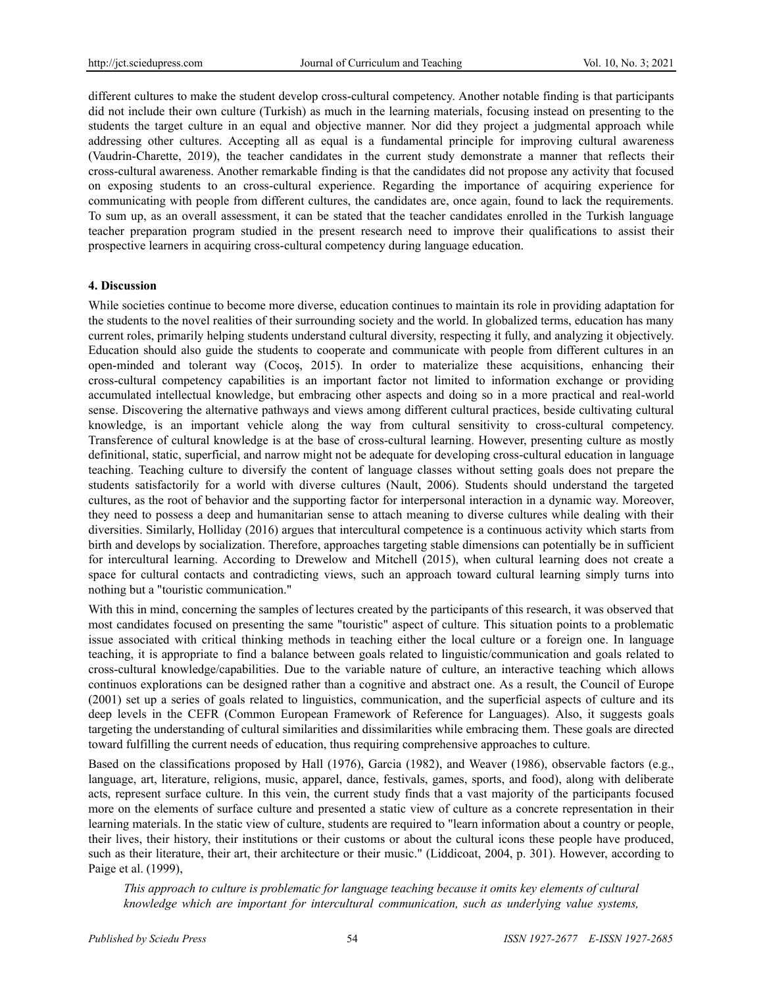different cultures to make the student develop cross-cultural competency. Another notable finding is that participants did not include their own culture (Turkish) as much in the learning materials, focusing instead on presenting to the students the target culture in an equal and objective manner. Nor did they project a judgmental approach while addressing other cultures. Accepting all as equal is a fundamental principle for improving cultural awareness (Vaudrin-Charette, 2019), the teacher candidates in the current study demonstrate a manner that reflects their cross-cultural awareness. Another remarkable finding is that the candidates did not propose any activity that focused on exposing students to an cross-cultural experience. Regarding the importance of acquiring experience for communicating with people from different cultures, the candidates are, once again, found to lack the requirements. To sum up, as an overall assessment, it can be stated that the teacher candidates enrolled in the Turkish language teacher preparation program studied in the present research need to improve their qualifications to assist their prospective learners in acquiring cross-cultural competency during language education.

#### **4. Discussion**

While societies continue to become more diverse, education continues to maintain its role in providing adaptation for the students to the novel realities of their surrounding society and the world. In globalized terms, education has many current roles, primarily helping students understand cultural diversity, respecting it fully, and analyzing it objectively. Education should also guide the students to cooperate and communicate with people from different cultures in an open-minded and tolerant way (Cocoş, 2015). In order to materialize these acquisitions, enhancing their cross-cultural competency capabilities is an important factor not limited to information exchange or providing accumulated intellectual knowledge, but embracing other aspects and doing so in a more practical and real-world sense. Discovering the alternative pathways and views among different cultural practices, beside cultivating cultural knowledge, is an important vehicle along the way from cultural sensitivity to cross-cultural competency. Transference of cultural knowledge is at the base of cross-cultural learning. However, presenting culture as mostly definitional, static, superficial, and narrow might not be adequate for developing cross-cultural education in language teaching. Teaching culture to diversify the content of language classes without setting goals does not prepare the students satisfactorily for a world with diverse cultures (Nault, 2006). Students should understand the targeted cultures, as the root of behavior and the supporting factor for interpersonal interaction in a dynamic way. Moreover, they need to possess a deep and humanitarian sense to attach meaning to diverse cultures while dealing with their diversities. Similarly, Holliday (2016) argues that intercultural competence is a continuous activity which starts from birth and develops by socialization. Therefore, approaches targeting stable dimensions can potentially be in sufficient for intercultural learning. According to Drewelow and Mitchell (2015), when cultural learning does not create a space for cultural contacts and contradicting views, such an approach toward cultural learning simply turns into nothing but a "touristic communication."

With this in mind, concerning the samples of lectures created by the participants of this research, it was observed that most candidates focused on presenting the same "touristic" aspect of culture. This situation points to a problematic issue associated with critical thinking methods in teaching either the local culture or a foreign one. In language teaching, it is appropriate to find a balance between goals related to linguistic/communication and goals related to cross-cultural knowledge/capabilities. Due to the variable nature of culture, an interactive teaching which allows continuos explorations can be designed rather than a cognitive and abstract one. As a result, the Council of Europe (2001) set up a series of goals related to linguistics, communication, and the superficial aspects of culture and its deep levels in the CEFR (Common European Framework of Reference for Languages). Also, it suggests goals targeting the understanding of cultural similarities and dissimilarities while embracing them. These goals are directed toward fulfilling the current needs of education, thus requiring comprehensive approaches to culture.

Based on the classifications proposed by Hall (1976), Garcia (1982), and Weaver (1986), observable factors (e.g., language, art, literature, religions, music, apparel, dance, festivals, games, sports, and food), along with deliberate acts, represent surface culture. In this vein, the current study finds that a vast majority of the participants focused more on the elements of surface culture and presented a static view of culture as a concrete representation in their learning materials. In the static view of culture, students are required to "learn information about a country or people, their lives, their history, their institutions or their customs or about the cultural icons these people have produced, such as their literature, their art, their architecture or their music." (Liddicoat, 2004, p. 301). However, according to Paige et al. (1999),

*This approach to culture is problematic for language teaching because it omits key elements of cultural knowledge which are important for intercultural communication, such as underlying value systems,*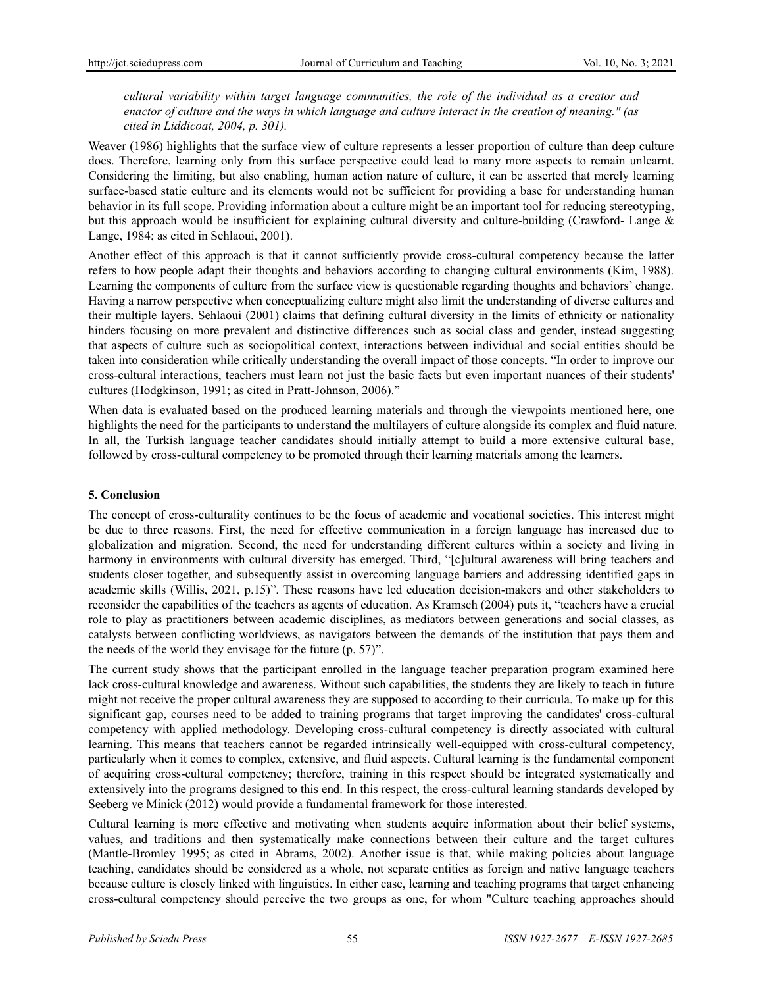*cultural variability within target language communities, the role of the individual as a creator and enactor of culture and the ways in which language and culture interact in the creation of meaning." (as cited in Liddicoat, 2004, p. 301).*

Weaver (1986) highlights that the surface view of culture represents a lesser proportion of culture than deep culture does. Therefore, learning only from this surface perspective could lead to many more aspects to remain unlearnt. Considering the limiting, but also enabling, human action nature of culture, it can be asserted that merely learning surface-based static culture and its elements would not be sufficient for providing a base for understanding human behavior in its full scope. Providing information about a culture might be an important tool for reducing stereotyping, but this approach would be insufficient for explaining cultural diversity and culture-building (Crawford- Lange & Lange, 1984; as cited in Sehlaoui, 2001).

Another effect of this approach is that it cannot sufficiently provide cross-cultural competency because the latter refers to how people adapt their thoughts and behaviors according to changing cultural environments (Kim, 1988). Learning the components of culture from the surface view is questionable regarding thoughts and behaviors' change. Having a narrow perspective when conceptualizing culture might also limit the understanding of diverse cultures and their multiple layers. Sehlaoui (2001) claims that defining cultural diversity in the limits of ethnicity or nationality hinders focusing on more prevalent and distinctive differences such as social class and gender, instead suggesting that aspects of culture such as sociopolitical context, interactions between individual and social entities should be taken into consideration while critically understanding the overall impact of those concepts. "In order to improve our cross-cultural interactions, teachers must learn not just the basic facts but even important nuances of their students' cultures (Hodgkinson, 1991; as cited in Pratt-Johnson, 2006)."

When data is evaluated based on the produced learning materials and through the viewpoints mentioned here, one highlights the need for the participants to understand the multilayers of culture alongside its complex and fluid nature. In all, the Turkish language teacher candidates should initially attempt to build a more extensive cultural base, followed by cross-cultural competency to be promoted through their learning materials among the learners.

# **5. Conclusion**

The concept of cross-culturality continues to be the focus of academic and vocational societies. This interest might be due to three reasons. First, the need for effective communication in a foreign language has increased due to globalization and migration. Second, the need for understanding different cultures within a society and living in harmony in environments with cultural diversity has emerged. Third, "[c]ultural awareness will bring teachers and students closer together, and subsequently assist in overcoming language barriers and addressing identified gaps in academic skills (Willis, 2021, p.15)". These reasons have led education decision-makers and other stakeholders to reconsider the capabilities of the teachers as agents of education. As Kramsch (2004) puts it, "teachers have a crucial role to play as practitioners between academic disciplines, as mediators between generations and social classes, as catalysts between conflicting worldviews, as navigators between the demands of the institution that pays them and the needs of the world they envisage for the future (p. 57)".

The current study shows that the participant enrolled in the language teacher preparation program examined here lack cross-cultural knowledge and awareness. Without such capabilities, the students they are likely to teach in future might not receive the proper cultural awareness they are supposed to according to their curricula. To make up for this significant gap, courses need to be added to training programs that target improving the candidates' cross-cultural competency with applied methodology. Developing cross-cultural competency is directly associated with cultural learning. This means that teachers cannot be regarded intrinsically well-equipped with cross-cultural competency, particularly when it comes to complex, extensive, and fluid aspects. Cultural learning is the fundamental component of acquiring cross-cultural competency; therefore, training in this respect should be integrated systematically and extensively into the programs designed to this end. In this respect, the cross-cultural learning standards developed by Seeberg ve Minick (2012) would provide a fundamental framework for those interested.

Cultural learning is more effective and motivating when students acquire information about their belief systems, values, and traditions and then systematically make connections between their culture and the target cultures (Mantle-Bromley 1995; as cited in Abrams, 2002). Another issue is that, while making policies about language teaching, candidates should be considered as a whole, not separate entities as foreign and native language teachers because culture is closely linked with linguistics. In either case, learning and teaching programs that target enhancing cross-cultural competency should perceive the two groups as one, for whom "Culture teaching approaches should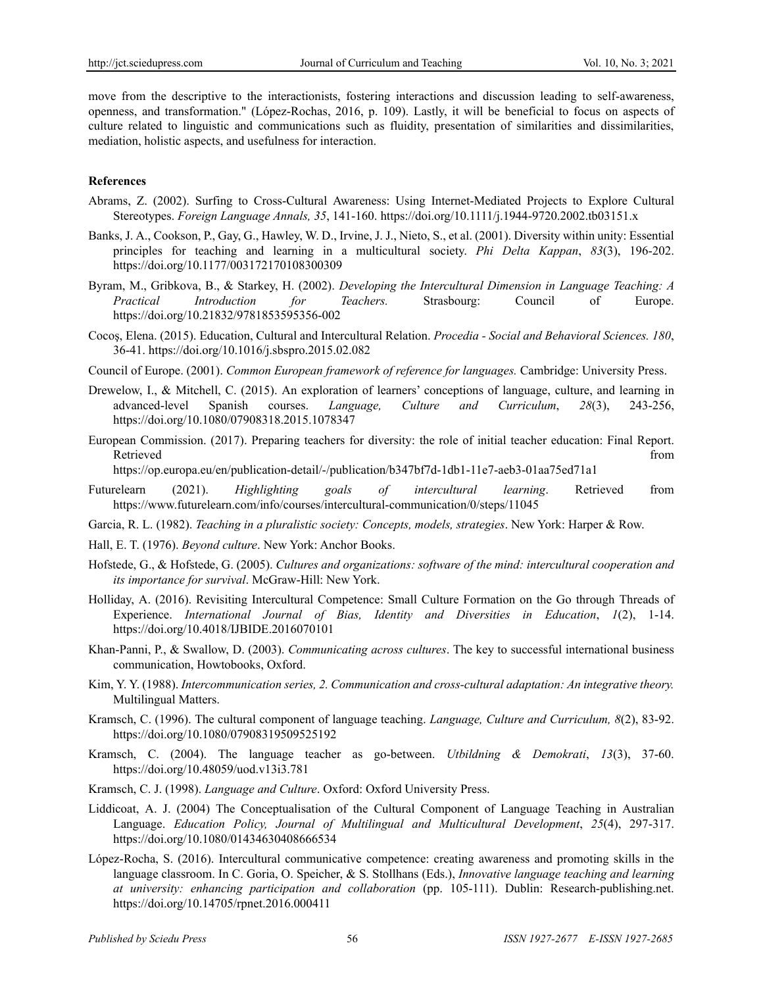move from the descriptive to the interactionists, fostering interactions and discussion leading to self-awareness, openness, and transformation." (López-Rochas, 2016, p. 109). Lastly, it will be beneficial to focus on aspects of culture related to linguistic and communications such as fluidity, presentation of similarities and dissimilarities, mediation, holistic aspects, and usefulness for interaction.

#### **References**

- Abrams, Z. (2002). Surfing to Cross‐Cultural Awareness: Using Internet‐Mediated Projects to Explore Cultural Stereotypes. *Foreign Language Annals, 35*, 141-160. https://doi.org/10.1111/j.1944-9720.2002.tb03151.x
- Banks, J. A., Cookson, P., Gay, G., Hawley, W. D., Irvine, J. J., Nieto, S., et al. (2001). Diversity within unity: Essential principles for teaching and learning in a multicultural society. *Phi Delta Kappan*, *83*(3), 196-202. https://doi.org/10.1177/003172170108300309
- Byram, M., Gribkova, B., & Starkey, H. (2002). *Developing the Intercultural Dimension in Language Teaching: A Practical Introduction for Teachers.* Strasbourg: Council of Europe. https://doi.org/10.21832/9781853595356-002
- Cocoş, Elena. (2015). Education, Cultural and Intercultural Relation. *Procedia - Social and Behavioral Sciences. 180*, 36-41. https://doi.org/10.1016/j.sbspro.2015.02.082
- Council of Europe. (2001). *Common European framework of reference for languages.* Cambridge: University Press.
- Drewelow, I., & Mitchell, C. (2015). An exploration of learners' conceptions of language, culture, and learning in advanced-level Spanish courses. *Language, Culture and Curriculum*, *28*(3), 243-256, https://doi.org/10.1080/07908318.2015.1078347
- European Commission. (2017). Preparing teachers for diversity: the role of initial teacher education: Final Report. Retrieved that the contract of the contract of the contract of the contract of the contract of the contract of the contract of the contract of the contract of the contract of the contract of the contract of the contract of

https://op.europa.eu/en/publication-detail/-/publication/b347bf7d-1db1-11e7-aeb3-01aa75ed71a1

- Futurelearn (2021). *Highlighting goals of intercultural learning*. Retrieved from https://www.futurelearn.com/info/courses/intercultural-communication/0/steps/11045
- Garcia, R. L. (1982). *Teaching in a pluralistic society: Concepts, models, strategies*. New York: Harper & Row.
- Hall, E. T. (1976). *Beyond culture*. New York: Anchor Books.
- Hofstede, G., & Hofstede, G. (2005). *Cultures and organizations: software of the mind: intercultural cooperation and its importance for survival*. McGraw-Hill: New York.
- Holliday, A. (2016). Revisiting Intercultural Competence: Small Culture Formation on the Go through Threads of Experience. *International Journal of Bias, Identity and Diversities in Education*, *1*(2), 1-14. https://doi.org/10.4018/IJBIDE.2016070101
- Khan-Panni, P., & Swallow, D. (2003). *Communicating across cultures*. The key to successful international business communication, Howtobooks, Oxford.
- Kim, Y. Y. (1988). *Intercommunication series, 2. Communication and cross-cultural adaptation: An integrative theory.* Multilingual Matters.
- Kramsch, C. (1996). The cultural component of language teaching. *Language, Culture and Curriculum, 8*(2), 83-92. https://doi.org/10.1080/07908319509525192
- Kramsch, C. (2004). The language teacher as go-between. *Utbildning & Demokrati*, *13*(3), 37-60. https://doi.org/10.48059/uod.v13i3.781
- Kramsch, C. J. (1998). *Language and Culture*. Oxford: Oxford University Press.
- Liddicoat, A. J. (2004) The Conceptualisation of the Cultural Component of Language Teaching in Australian Language. *Education Policy, Journal of Multilingual and Multicultural Development*, *25*(4), 297-317. https://doi.org/10.1080/01434630408666534
- López-Rocha, S. (2016). Intercultural communicative competence: creating awareness and promoting skills in the language classroom. In C. Goria, O. Speicher, & S. Stollhans (Eds.), *Innovative language teaching and learning at university: enhancing participation and collaboration* (pp. 105-111). Dublin: Research-publishing.net. https://doi.org/10.14705/rpnet.2016.000411